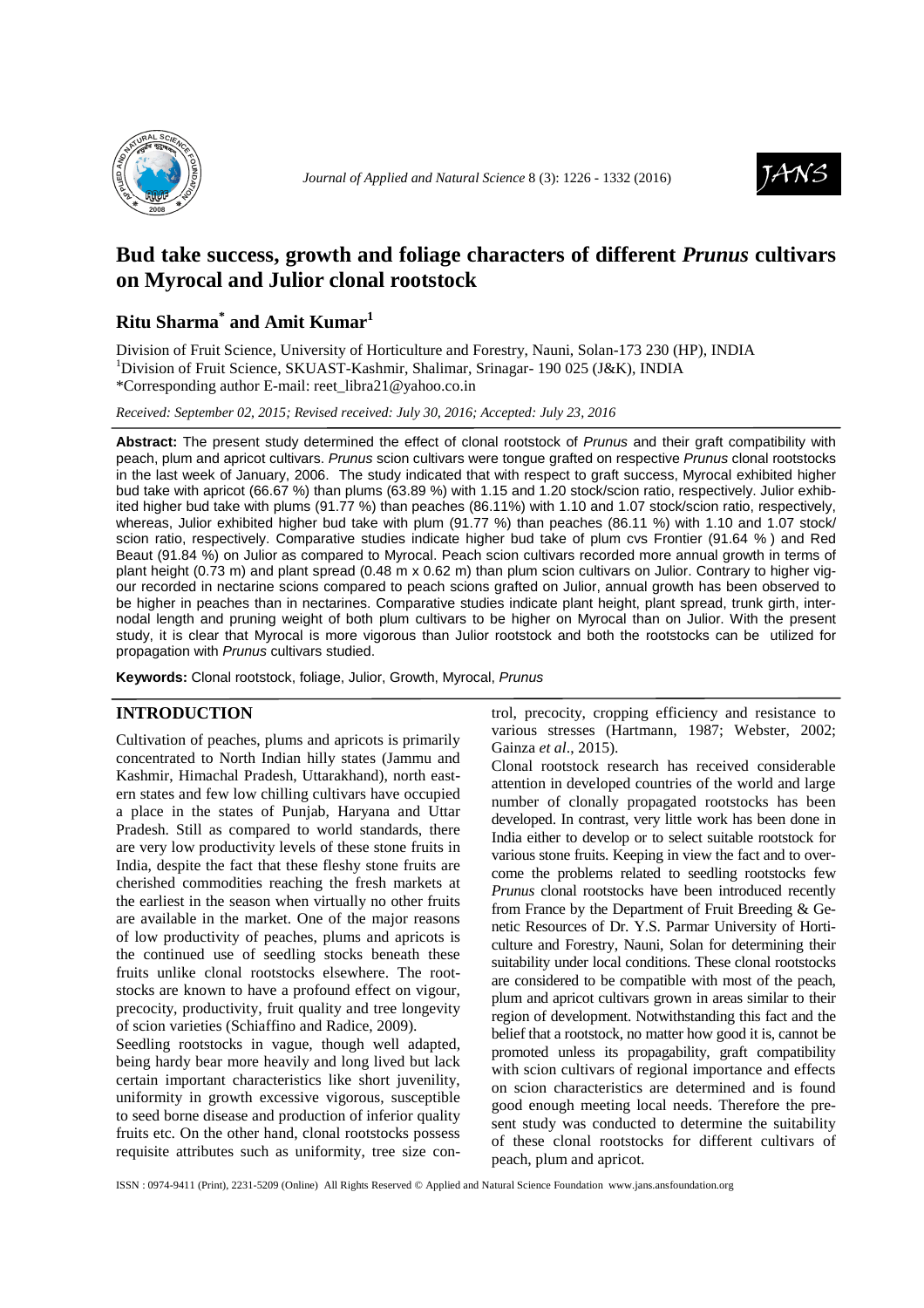



# **Bud take success, growth and foliage characters of different** *Prunus* **cultivars on Myrocal and Julior clonal rootstock**

## **Ritu Sharma\* and Amit Kumar<sup>1</sup>**

Division of Fruit Science, University of Horticulture and Forestry, Nauni, Solan-173 230 (HP), INDIA <sup>1</sup>Division of Fruit Science, SKUAST-Kashmir, Shalimar, Srinagar- 190 025 (J&K), INDIA \*Corresponding author E-mail: reet\_libra21@yahoo.co.in

*Received: September 02, 2015; Revised received: July 30, 2016; Accepted: July 23, 2016*

**Abstract:** The present study determined the effect of clonal rootstock of Prunus and their graft compatibility with peach, plum and apricot cultivars. Prunus scion cultivars were tongue grafted on respective Prunus clonal rootstocks in the last week of January, 2006. The study indicated that with respect to graft success, Myrocal exhibited higher bud take with apricot (66.67 %) than plums (63.89 %) with 1.15 and 1.20 stock/scion ratio, respectively. Julior exhibited higher bud take with plums (91.77 %) than peaches (86.11%) with 1.10 and 1.07 stock/scion ratio, respectively, whereas, Julior exhibited higher bud take with plum (91.77 %) than peaches (86.11 %) with 1.10 and 1.07 stock/ scion ratio, respectively. Comparative studies indicate higher bud take of plum cvs Frontier (91.64 % ) and Red Beaut (91.84 %) on Julior as compared to Myrocal. Peach scion cultivars recorded more annual growth in terms of plant height (0.73 m) and plant spread (0.48 m x 0.62 m) than plum scion cultivars on Julior. Contrary to higher vigour recorded in nectarine scions compared to peach scions grafted on Julior, annual growth has been observed to be higher in peaches than in nectarines. Comparative studies indicate plant height, plant spread, trunk girth, internodal length and pruning weight of both plum cultivars to be higher on Myrocal than on Julior. With the present study, it is clear that Myrocal is more vigorous than Julior rootstock and both the rootstocks can be utilized for propagation with Prunus cultivars studied.

**Keywords:** Clonal rootstock, foliage, Julior, Growth, Myrocal, Prunus

## **INTRODUCTION**

Cultivation of peaches, plums and apricots is primarily concentrated to North Indian hilly states (Jammu and Kashmir, Himachal Pradesh, Uttarakhand), north eastern states and few low chilling cultivars have occupied a place in the states of Punjab, Haryana and Uttar Pradesh. Still as compared to world standards, there are very low productivity levels of these stone fruits in India, despite the fact that these fleshy stone fruits are cherished commodities reaching the fresh markets at the earliest in the season when virtually no other fruits are available in the market. One of the major reasons of low productivity of peaches, plums and apricots is the continued use of seedling stocks beneath these fruits unlike clonal rootstocks elsewhere. The rootstocks are known to have a profound effect on vigour, precocity, productivity, fruit quality and tree longevity of scion varieties (Schiaffino and Radice, 2009).

Seedling rootstocks in vague, though well adapted, being hardy bear more heavily and long lived but lack certain important characteristics like short juvenility, uniformity in growth excessive vigorous, susceptible to seed borne disease and production of inferior quality fruits etc. On the other hand, clonal rootstocks possess requisite attributes such as uniformity, tree size control, precocity, cropping efficiency and resistance to various stresses (Hartmann, 1987; Webster, 2002; Gainza *et al*., 2015).

Clonal rootstock research has received considerable attention in developed countries of the world and large number of clonally propagated rootstocks has been developed. In contrast, very little work has been done in India either to develop or to select suitable rootstock for various stone fruits. Keeping in view the fact and to overcome the problems related to seedling rootstocks few *Prunus* clonal rootstocks have been introduced recently from France by the Department of Fruit Breeding & Genetic Resources of Dr. Y.S. Parmar University of Horticulture and Forestry, Nauni, Solan for determining their suitability under local conditions. These clonal rootstocks are considered to be compatible with most of the peach, plum and apricot cultivars grown in areas similar to their region of development. Notwithstanding this fact and the belief that a rootstock, no matter how good it is, cannot be promoted unless its propagability, graft compatibility with scion cultivars of regional importance and effects on scion characteristics are determined and is found good enough meeting local needs. Therefore the present study was conducted to determine the suitability of these clonal rootstocks for different cultivars of peach, plum and apricot.

ISSN : 0974-9411 (Print), 2231-5209 (Online) All Rights Reserved © Applied and Natural Science Foundation www.jans.ansfoundation.org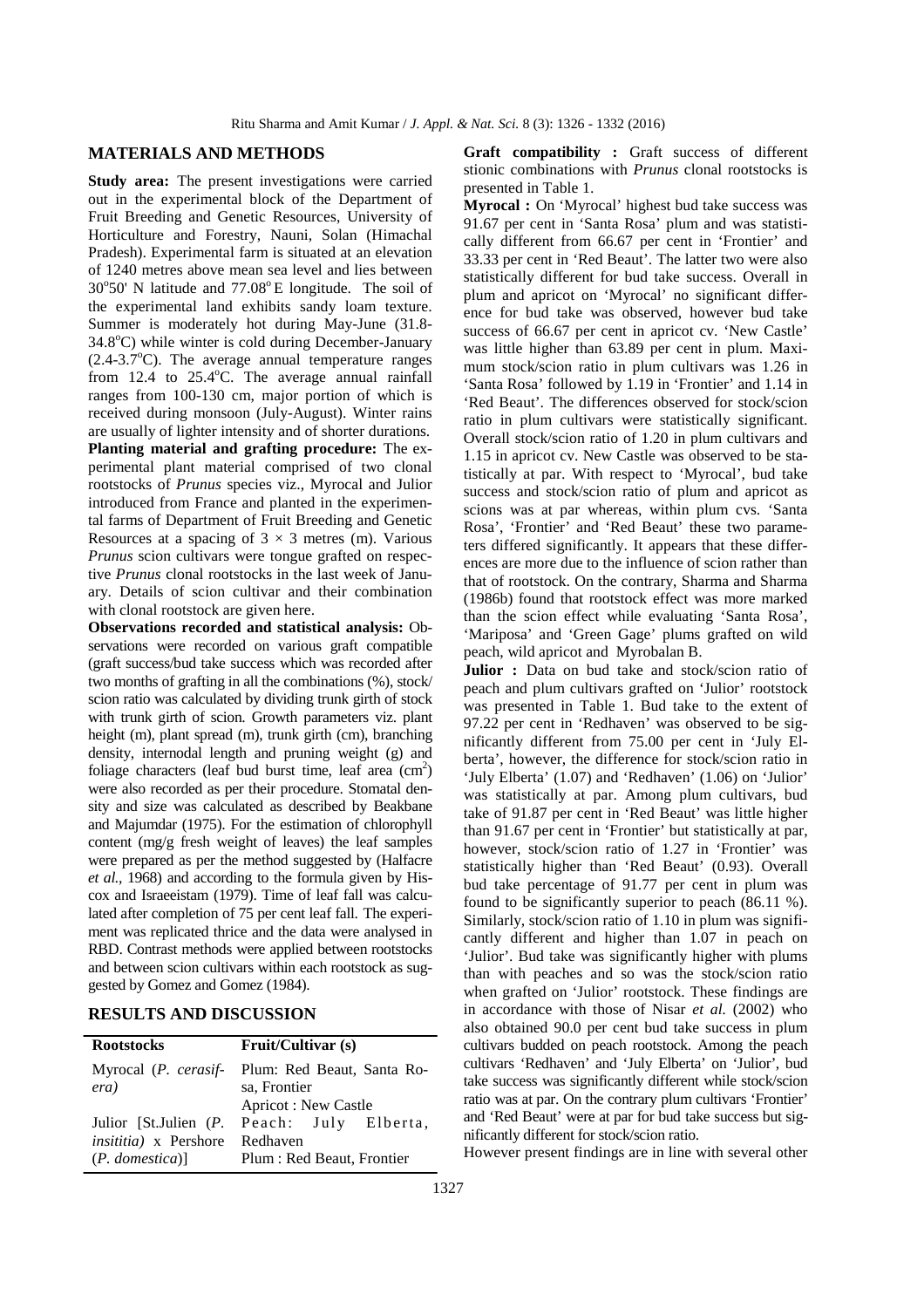## **MATERIALS AND METHODS**

**Study area:** The present investigations were carried out in the experimental block of the Department of Fruit Breeding and Genetic Resources, University of Horticulture and Forestry, Nauni, Solan (Himachal Pradesh). Experimental farm is situated at an elevation of 1240 metres above mean sea level and lies between 30°50' N latitude and 77.08°E longitude. The soil of the experimental land exhibits sandy loam texture. Summer is moderately hot during May-June (31.8-  $34.8^{\circ}$ C) while winter is cold during December-January  $(2.4-3.7^{\circ}C)$ . The average annual temperature ranges from  $12.4$  to  $25.4^{\circ}$ C. The average annual rainfall ranges from 100-130 cm, major portion of which is received during monsoon (July-August). Winter rains are usually of lighter intensity and of shorter durations. **Planting material and grafting procedure:** The experimental plant material comprised of two clonal rootstocks of *Prunus* species viz., Myrocal and Julior introduced from France and planted in the experimental farms of Department of Fruit Breeding and Genetic Resources at a spacing of  $3 \times 3$  metres (m). Various *Prunus* scion cultivars were tongue grafted on respective *Prunus* clonal rootstocks in the last week of January. Details of scion cultivar and their combination with clonal rootstock are given here.

**Observations recorded and statistical analysis:** Observations were recorded on various graft compatible (graft success/bud take success which was recorded after two months of grafting in all the combinations (%), stock/ scion ratio was calculated by dividing trunk girth of stock with trunk girth of scion. Growth parameters viz. plant height (m), plant spread (m), trunk girth (cm), branching density, internodal length and pruning weight (g) and foliage characters (leaf bud burst time, leaf area  $\text{(cm}^2\text{)}$ were also recorded as per their procedure. Stomatal density and size was calculated as described by Beakbane and Majumdar (1975). For the estimation of chlorophyll content (mg/g fresh weight of leaves) the leaf samples were prepared as per the method suggested by (Halfacre *et al.,* 1968) and according to the formula given by Hiscox and Israeeistam (1979). Time of leaf fall was calculated after completion of 75 per cent leaf fall. The experiment was replicated thrice and the data were analysed in RBD. Contrast methods were applied between rootstocks and between scion cultivars within each rootstock as suggested by Gomez and Gomez (1984).

## **RESULTS AND DISCUSSION**

| <b>Rootstocks</b>                                                           | <b>Fruit/Cultivar (s)</b>                                                              |
|-----------------------------------------------------------------------------|----------------------------------------------------------------------------------------|
| era)                                                                        | Myrocal (P. cerasif- Plum: Red Beaut, Santa Ro-<br>sa, Frontier<br>Apricot: New Castle |
| Julior [St.Julien (P.<br><i>insititia</i> ) x Pershore<br>$(P.$ domestica)] | Peach: July Elberta,<br>Redhaven<br>Plum : Red Beaut, Frontier                         |

**Graft compatibility :** Graft success of different stionic combinations with *Prunus* clonal rootstocks is presented in Table 1.

**Myrocal :** On 'Myrocal' highest bud take success was 91.67 per cent in 'Santa Rosa' plum and was statistically different from 66.67 per cent in 'Frontier' and 33.33 per cent in 'Red Beaut'. The latter two were also statistically different for bud take success. Overall in plum and apricot on 'Myrocal' no significant difference for bud take was observed, however bud take success of 66.67 per cent in apricot cv. 'New Castle' was little higher than 63.89 per cent in plum. Maximum stock/scion ratio in plum cultivars was 1.26 in 'Santa Rosa' followed by 1.19 in 'Frontier' and 1.14 in 'Red Beaut'. The differences observed for stock/scion ratio in plum cultivars were statistically significant. Overall stock/scion ratio of 1.20 in plum cultivars and 1.15 in apricot cv. New Castle was observed to be statistically at par. With respect to 'Myrocal', bud take success and stock/scion ratio of plum and apricot as scions was at par whereas, within plum cvs. 'Santa Rosa', 'Frontier' and 'Red Beaut' these two parameters differed significantly. It appears that these differences are more due to the influence of scion rather than that of rootstock. On the contrary, Sharma and Sharma (1986b) found that rootstock effect was more marked than the scion effect while evaluating 'Santa Rosa', 'Mariposa' and 'Green Gage' plums grafted on wild peach, wild apricot and Myrobalan B.

**Julior :** Data on bud take and stock/scion ratio of peach and plum cultivars grafted on 'Julior' rootstock was presented in Table 1. Bud take to the extent of 97.22 per cent in 'Redhaven' was observed to be significantly different from 75.00 per cent in 'July Elberta', however, the difference for stock/scion ratio in 'July Elberta' (1.07) and 'Redhaven' (1.06) on 'Julior' was statistically at par. Among plum cultivars, bud take of 91.87 per cent in 'Red Beaut' was little higher than 91.67 per cent in 'Frontier' but statistically at par, however, stock/scion ratio of 1.27 in 'Frontier' was statistically higher than 'Red Beaut' (0.93). Overall bud take percentage of 91.77 per cent in plum was found to be significantly superior to peach (86.11 %). Similarly, stock/scion ratio of 1.10 in plum was significantly different and higher than 1.07 in peach on 'Julior'. Bud take was significantly higher with plums than with peaches and so was the stock/scion ratio when grafted on 'Julior' rootstock. These findings are in accordance with those of Nisar *et al.* (2002) who also obtained 90.0 per cent bud take success in plum cultivars budded on peach rootstock. Among the peach cultivars 'Redhaven' and 'July Elberta' on 'Julior', bud take success was significantly different while stock/scion ratio was at par. On the contrary plum cultivars 'Frontier' and 'Red Beaut' were at par for bud take success but significantly different for stock/scion ratio.

However present findings are in line with several other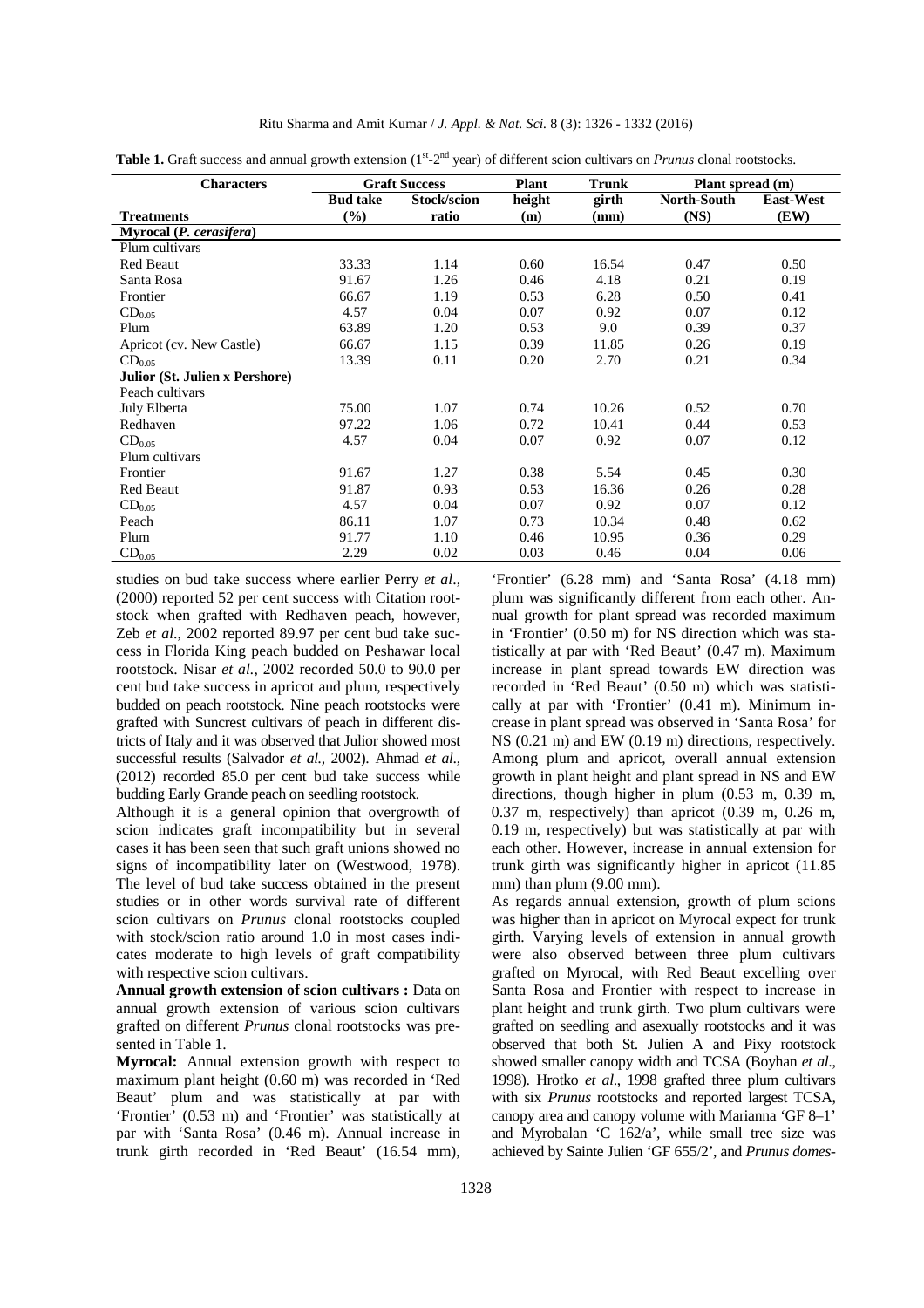#### Ritu Sharma and Amit Kumar / *J. Appl. & Nat. Sci.* 8 (3): 1326 - 1332 (2016)

| <b>Characters</b>                     |                 | <b>Graft Success</b> | <b>Plant</b> | <b>Trunk</b> | Plant spread (m)   |                  |
|---------------------------------------|-----------------|----------------------|--------------|--------------|--------------------|------------------|
|                                       | <b>Bud take</b> | Stock/scion          | height       | girth        | <b>North-South</b> | <b>East-West</b> |
| <b>Treatments</b>                     | $(\%)$          | ratio                | (m)          | (mm)         | (NS)               | (EW)             |
| Myrocal (P. cerasifera)               |                 |                      |              |              |                    |                  |
| Plum cultivars                        |                 |                      |              |              |                    |                  |
| <b>Red Beaut</b>                      | 33.33           | 1.14                 | 0.60         | 16.54        | 0.47               | 0.50             |
| Santa Rosa                            | 91.67           | 1.26                 | 0.46         | 4.18         | 0.21               | 0.19             |
| Frontier                              | 66.67           | 1.19                 | 0.53         | 6.28         | 0.50               | 0.41             |
| $CD_{0.05}$                           | 4.57            | 0.04                 | 0.07         | 0.92         | 0.07               | 0.12             |
| Plum                                  | 63.89           | 1.20                 | 0.53         | 9.0          | 0.39               | 0.37             |
| Apricot (cv. New Castle)              | 66.67           | 1.15                 | 0.39         | 11.85        | 0.26               | 0.19             |
| $CD_{0.05}$                           | 13.39           | 0.11                 | 0.20         | 2.70         | 0.21               | 0.34             |
| <b>Julior (St. Julien x Pershore)</b> |                 |                      |              |              |                    |                  |
| Peach cultivars                       |                 |                      |              |              |                    |                  |
| July Elberta                          | 75.00           | 1.07                 | 0.74         | 10.26        | 0.52               | 0.70             |
| Redhaven                              | 97.22           | 1.06                 | 0.72         | 10.41        | 0.44               | 0.53             |
| $CD_{0.05}$                           | 4.57            | 0.04                 | 0.07         | 0.92         | 0.07               | 0.12             |
| Plum cultivars                        |                 |                      |              |              |                    |                  |
| Frontier                              | 91.67           | 1.27                 | 0.38         | 5.54         | 0.45               | 0.30             |
| <b>Red Beaut</b>                      | 91.87           | 0.93                 | 0.53         | 16.36        | 0.26               | 0.28             |
| $CD_{0.05}$                           | 4.57            | 0.04                 | 0.07         | 0.92         | 0.07               | 0.12             |
| Peach                                 | 86.11           | 1.07                 | 0.73         | 10.34        | 0.48               | 0.62             |
| Plum                                  | 91.77           | 1.10                 | 0.46         | 10.95        | 0.36               | 0.29             |
| $CD_{0.05}$                           | 2.29            | 0.02                 | 0.03         | 0.46         | 0.04               | 0.06             |

**Table 1.** Graft success and annual growth extension (1<sup>st</sup>-2<sup>nd</sup> year) of different scion cultivars on *Prunus* clonal rootstocks.

studies on bud take success where earlier Perry *et al*., (2000) reported 52 per cent success with Citation rootstock when grafted with Redhaven peach, however, Zeb *et al*., 2002 reported 89.97 per cent bud take success in Florida King peach budded on Peshawar local rootstock. Nisar *et al.*, 2002 recorded 50.0 to 90.0 per cent bud take success in apricot and plum, respectively budded on peach rootstock. Nine peach rootstocks were grafted with Suncrest cultivars of peach in different districts of Italy and it was observed that Julior showed most successful results (Salvador *et al.,* 2002). Ahmad *et al*., (2012) recorded 85.0 per cent bud take success while budding Early Grande peach on seedling rootstock.

Although it is a general opinion that overgrowth of scion indicates graft incompatibility but in several cases it has been seen that such graft unions showed no signs of incompatibility later on (Westwood, 1978). The level of bud take success obtained in the present studies or in other words survival rate of different scion cultivars on *Prunus* clonal rootstocks coupled with stock/scion ratio around 1.0 in most cases indicates moderate to high levels of graft compatibility with respective scion cultivars.

**Annual growth extension of scion cultivars :** Data on annual growth extension of various scion cultivars grafted on different *Prunus* clonal rootstocks was presented in Table 1.

**Myrocal:** Annual extension growth with respect to maximum plant height (0.60 m) was recorded in 'Red Beaut' plum and was statistically at par with 'Frontier' (0.53 m) and 'Frontier' was statistically at par with 'Santa Rosa' (0.46 m). Annual increase in trunk girth recorded in 'Red Beaut' (16.54 mm),

'Frontier' (6.28 mm) and 'Santa Rosa' (4.18 mm) plum was significantly different from each other. Annual growth for plant spread was recorded maximum in 'Frontier' (0.50 m) for NS direction which was statistically at par with 'Red Beaut' (0.47 m). Maximum increase in plant spread towards EW direction was recorded in 'Red Beaut' (0.50 m) which was statistically at par with 'Frontier' (0.41 m). Minimum increase in plant spread was observed in 'Santa Rosa' for NS (0.21 m) and EW (0.19 m) directions, respectively. Among plum and apricot, overall annual extension growth in plant height and plant spread in NS and EW directions, though higher in plum (0.53 m, 0.39 m, 0.37 m, respectively) than apricot (0.39 m, 0.26 m, 0.19 m, respectively) but was statistically at par with each other. However, increase in annual extension for trunk girth was significantly higher in apricot (11.85 mm) than plum (9.00 mm).

As regards annual extension, growth of plum scions was higher than in apricot on Myrocal expect for trunk girth. Varying levels of extension in annual growth were also observed between three plum cultivars grafted on Myrocal, with Red Beaut excelling over Santa Rosa and Frontier with respect to increase in plant height and trunk girth. Two plum cultivars were grafted on seedling and asexually rootstocks and it was observed that both St. Julien A and Pixy rootstock showed smaller canopy width and TCSA (Boyhan *et al*., 1998). Hrotko *et al*., 1998 grafted three plum cultivars with six *Prunus* rootstocks and reported largest TCSA, canopy area and canopy volume with Marianna 'GF 8–1' and Myrobalan 'C 162/a', while small tree size was achieved by Sainte Julien 'GF 655/2', and *Prunus domes-*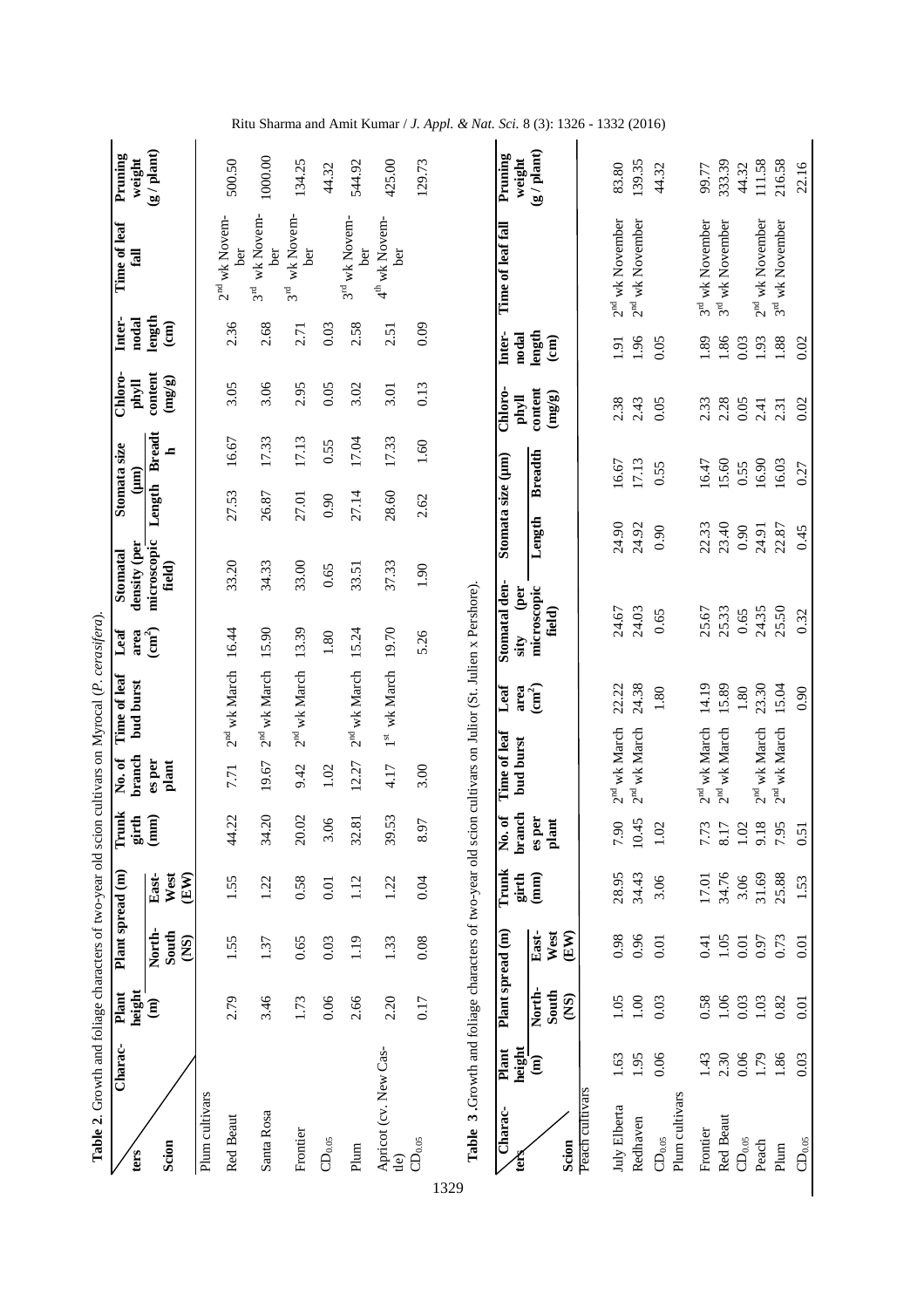| ters                          | Charac-                                                             | height<br>Plant         | Plant spread (m)              |                       | Trunk<br>$girth$<br>$(mm)$             | branch<br>No. of                           | Time of leaf<br>bud burst | Let                           | density (per<br>Stomatal | Stomata size<br>(mm) |                    | Chloro-<br>phyll           | Inter-<br>nodal                   | Time of leaf<br>fall                   | Pruning<br>weight      |
|-------------------------------|---------------------------------------------------------------------|-------------------------|-------------------------------|-----------------------|----------------------------------------|--------------------------------------------|---------------------------|-------------------------------|--------------------------|----------------------|--------------------|----------------------------|-----------------------------------|----------------------------------------|------------------------|
| Scion                         |                                                                     | $\widehat{\mathbf{g}}$  | North-<br>South<br><b>CNS</b> | East-<br>West<br>(EW) |                                        | es per<br>plant                            |                           | area<br>$\frac{a}{2}$         | microscopic<br>field)    | Length               | <b>Breadt</b><br>ᆋ | content<br>$(\text{mg/s})$ | length<br>$\widehat{E}$           |                                        | (g / plant)            |
| Plum cultivars                |                                                                     |                         |                               |                       |                                        |                                            |                           |                               |                          |                      |                    |                            |                                   |                                        |                        |
| Red Beaut                     |                                                                     | 2.79                    | 1.55                          | 1.55                  | $\tilde{\mathcal{L}}$<br>$\frac{4}{4}$ | 7.71                                       | $2nd$ wk March            | 16.44                         | 33.20                    | 27.53                | 16.67              | 3.05                       | 2.36                              | $2nd$ wk Novem-<br>ber                 | 500.50                 |
| Santa Rosa                    |                                                                     | 3.46                    | 1.37                          | 1.22                  | $\overline{c}$<br>34.                  | 19.67                                      | $2^{\rm nd}$ wk March     | 15.90                         | 34.33                    | 26.87                | 17.33              | 3.06                       | 2.68                              | wk Novem-<br>ber<br>3 <sup>rd</sup>    | 1000.00                |
| Frontier                      |                                                                     | 1.73                    | 0.65                          | 0.58                  | 20.02                                  | 9.42                                       | $2nd$ wk March            | 13.39                         | 33.00                    | 27.01                | 17.13              | 2.95                       | 2.71                              | wk Novem-<br>ber<br>$3^{\rm rd}$       | 134.25                 |
| $\mathbf{CD}_{0.05}$          |                                                                     | 0.06                    | 0.03                          | 0.01                  | 3.06                                   | 1.02                                       |                           | 1.80                          | 0.65                     | 0.90                 | 0.55               | 0.05                       | 0.03                              |                                        | 44.32                  |
| Plum                          |                                                                     | 2.66                    | 1.19                          | 1.12                  | $\overline{8}$<br>32.                  | 12.27                                      | $2nd$ wk March            | 15.24                         | 33.51                    | 27.14                | 17.04              | 3.02                       | 2.58                              | 3 <sup>rd</sup> wk Novem-<br>ber       | 544.92                 |
| Apricot (cv. New Cas-<br>tle) |                                                                     | 2.20                    | 1.33                          | 1.22                  | 53<br>39.                              | 4.17                                       | wk March<br>$1^{\rm st}$  | 19.70                         | 37.33                    | 28.60                | 17.33              | 3.01                       | 2.51                              | $4th$ wk Novem-<br>ber                 | 425.00                 |
| ${\rm CD}_{0.05}$<br>1329     |                                                                     | 0.17                    | 0.08                          | 0.04                  | 57<br>$\infty$                         | 3.00                                       |                           | 5.26                          | 1.90                     | 2.62                 | 1.60               | 0.13                       | 0.09                              |                                        | 129.73                 |
| Charac-                       | Table 3. Growth and foliage characters of two-year old sci<br>Plant | Plant spread (m)        |                               | Trunk                 | ್<br>,<br>Ž                            | Time of leaf                               | Leaf                      | Stomatal den-                 |                          | Stomata size (µm)    |                    | Chloro-                    | Inter-                            | Time of leaf fall                      | Pruning                |
| Scion<br>É                    | height<br>$\widehat{\mathbf{g}}$                                    | North-<br>South<br>(NS) | East-<br>West<br>(EW)         | (mm)<br>girth         | branch<br>es per<br>plant              | bud burst                                  | $\textbf{(cm}^2)$<br>area | microscopic<br>field)<br>sity | (per                     | Length               | <b>Breadth</b>     | content<br>(mg/g)<br>phyll | length<br>nodal<br>$\binom{1}{k}$ |                                        | $g /$ plant)<br>weight |
| Peach cultivars               |                                                                     |                         |                               |                       |                                        |                                            |                           |                               |                          |                      |                    |                            |                                   |                                        |                        |
| July Elberta<br>Redhaven      | 1.95<br>1.63                                                        | 1.00<br>1.05            | 0.96<br>0.98                  | 28.95<br>34.43        | 10.45<br>7.90                          | 2 <sup>nd</sup> wk March<br>$2nd$ wk March | 24.38<br>22.22            | 24.67<br>24.03                |                          | 24.90<br>24.92       | 17.13<br>16.67     | 2.38<br>2.43               | 1.91                              | $2nd$ wk November<br>$2nd$ wk November | 139.35<br>83.80        |
| ${\rm CD}_{0.05}$             | 0.06                                                                | 0.03                    | 0.01                          | 3.06                  | $1.02\,$                               |                                            | 1.80                      | 0.65                          |                          | 0.90                 | 0.55               | 0.05                       | 1.96<br>0.05                      |                                        | 44.32                  |
| Plum cultivars                |                                                                     |                         |                               |                       |                                        |                                            |                           |                               |                          |                      |                    |                            |                                   |                                        |                        |
| Frontier                      | 1.43                                                                | 0.58                    | 0.41                          | 17.01                 | iw L<br>7.7                            | 2 <sup>nd</sup> wk March                   | 14.19                     | 25.67                         |                          | 22.33                | 16.47              | 2.33                       | 1.89                              | 3 <sup>rd</sup> wk November            | 99.77                  |
| Red Beaut                     | 2.30                                                                | 1.06                    | 1.05                          | 34.76                 | $\overline{8}$                         | wk March<br>2 <sup>nd</sup>                | 15.89                     | 25.33                         |                          | 23.40                | 15.60              | 2.28                       | 1.86                              | wk November<br>3 <sup>d</sup>          | 333.39                 |
| $CD_{0.05}$                   | $0.06\,$                                                            | 0.03                    | 0.01                          | 3.06                  | $\tilde{a}$<br>$\Xi$                   |                                            | $1.80\,$                  | 0.65                          |                          | 0.90                 | 0.55               | 0.05                       | 0.03                              |                                        | 44.32                  |
| Peach                         | 1.79                                                                | $1.03$                  | 0.97                          | 31.69                 | $\infty$<br>$\overline{5}$             | $2nd$ wk March                             | 23.30                     | 24.35                         |                          | 24.91                | 16.90              | 2.41                       | 1.93                              | $2nd$ wk November                      | 111.58                 |
| Plum                          | 1.86                                                                | 0.82                    | 0.73                          | 25.88                 | ĀΣ<br>6.7                              | $2nd$ wk March                             | 15.04                     | 25.50                         |                          | 22.87                | 16.03              | 2.31                       | 1.88                              | 3 <sup>rd</sup> wk November            | 216.58                 |
| $\mathbb{C}\mathbb{D}_{0.05}$ | 0.03                                                                | 0.01                    | $\overline{0.01}$             | 1.53                  | 0.51                                   |                                            | 0.90                      | 0.32                          |                          | 0.45                 | 0.27               | 0.02                       | 0.02                              |                                        | 22.16                  |

Ritu Sharma and Amit Kumar / *J. Appl. & Nat. Sci.* 8 (3): 1326 - 1332 (2016)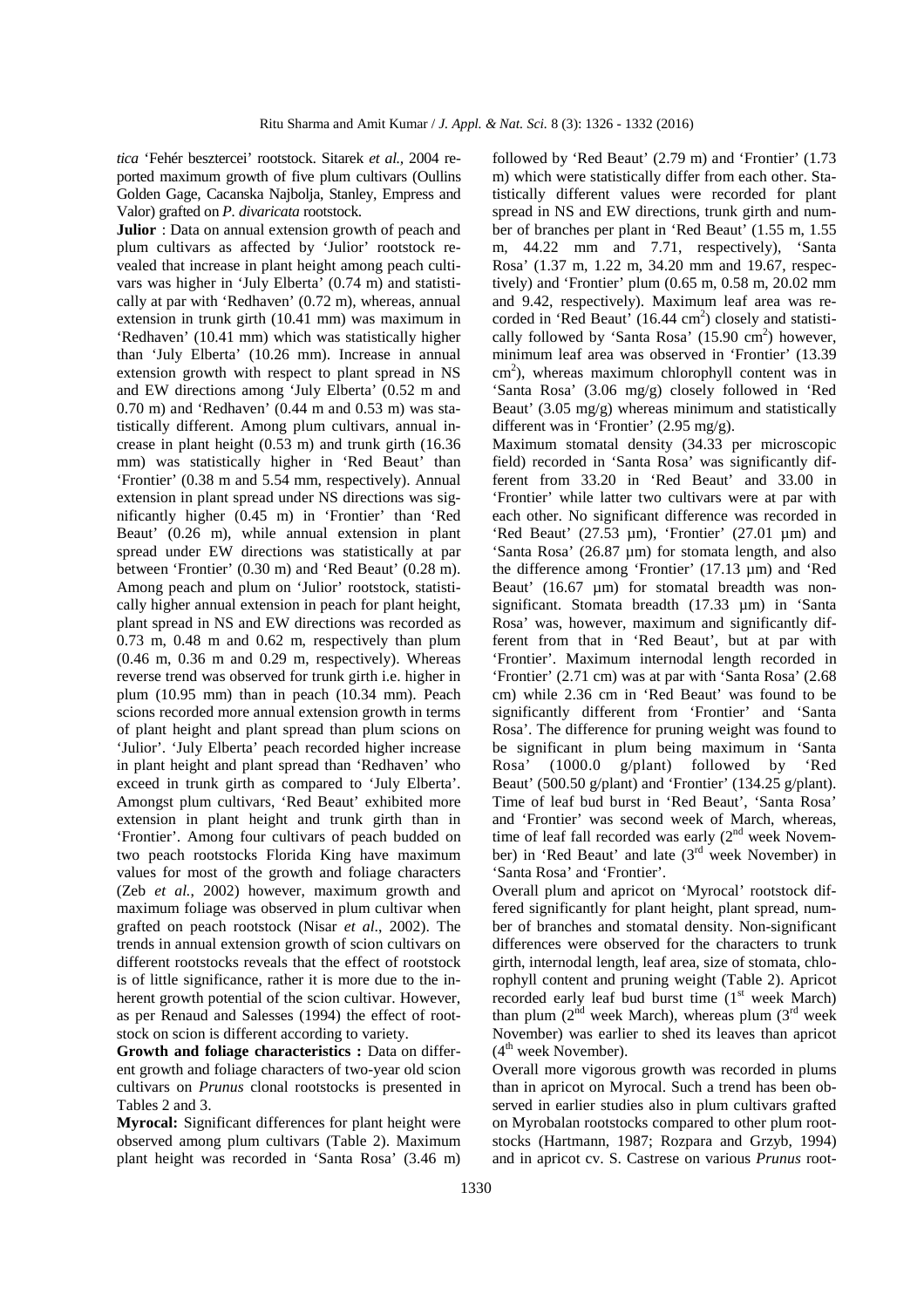*tica* 'Fehér besztercei' rootstock. Sitarek *et al.,* 2004 reported maximum growth of five plum cultivars (Oullins Golden Gage, Cacanska Najbolja, Stanley, Empress and Valor) grafted on *P. divaricata* rootstock.

**Julior** : Data on annual extension growth of peach and plum cultivars as affected by 'Julior' rootstock revealed that increase in plant height among peach cultivars was higher in 'July Elberta' (0.74 m) and statistically at par with 'Redhaven' (0.72 m), whereas, annual extension in trunk girth (10.41 mm) was maximum in 'Redhaven' (10.41 mm) which was statistically higher than 'July Elberta' (10.26 mm). Increase in annual extension growth with respect to plant spread in NS and EW directions among 'July Elberta' (0.52 m and 0.70 m) and 'Redhaven' (0.44 m and 0.53 m) was statistically different. Among plum cultivars, annual increase in plant height (0.53 m) and trunk girth (16.36 mm) was statistically higher in 'Red Beaut' than 'Frontier' (0.38 m and 5.54 mm, respectively). Annual extension in plant spread under NS directions was significantly higher (0.45 m) in 'Frontier' than 'Red Beaut' (0.26 m), while annual extension in plant spread under EW directions was statistically at par between 'Frontier' (0.30 m) and 'Red Beaut' (0.28 m). Among peach and plum on 'Julior' rootstock, statistically higher annual extension in peach for plant height, plant spread in NS and EW directions was recorded as 0.73 m, 0.48 m and 0.62 m, respectively than plum (0.46 m, 0.36 m and 0.29 m, respectively). Whereas reverse trend was observed for trunk girth i.e. higher in plum (10.95 mm) than in peach (10.34 mm). Peach scions recorded more annual extension growth in terms of plant height and plant spread than plum scions on 'Julior'. 'July Elberta' peach recorded higher increase in plant height and plant spread than 'Redhaven' who exceed in trunk girth as compared to 'July Elberta'. Amongst plum cultivars, 'Red Beaut' exhibited more extension in plant height and trunk girth than in 'Frontier'. Among four cultivars of peach budded on two peach rootstocks Florida King have maximum values for most of the growth and foliage characters (Zeb *et al.*, 2002) however, maximum growth and maximum foliage was observed in plum cultivar when grafted on peach rootstock (Nisar *et al*., 2002). The trends in annual extension growth of scion cultivars on different rootstocks reveals that the effect of rootstock is of little significance, rather it is more due to the inherent growth potential of the scion cultivar. However, as per Renaud and Salesses (1994) the effect of rootstock on scion is different according to variety.

**Growth and foliage characteristics :** Data on different growth and foliage characters of two-year old scion cultivars on *Prunus* clonal rootstocks is presented in Tables 2 and 3.

**Myrocal:** Significant differences for plant height were observed among plum cultivars (Table 2). Maximum plant height was recorded in 'Santa Rosa' (3.46 m) followed by 'Red Beaut' (2.79 m) and 'Frontier' (1.73 m) which were statistically differ from each other. Statistically different values were recorded for plant spread in NS and EW directions, trunk girth and number of branches per plant in 'Red Beaut' (1.55 m, 1.55 m, 44.22 mm and 7.71, respectively), 'Santa Rosa' (1.37 m, 1.22 m, 34.20 mm and 19.67, respectively) and 'Frontier' plum (0.65 m, 0.58 m, 20.02 mm and 9.42, respectively). Maximum leaf area was recorded in 'Red Beaut'  $(16.44 \text{ cm}^2)$  closely and statistically followed by 'Santa Rosa'  $(15.90 \text{ cm}^2)$  however, minimum leaf area was observed in 'Frontier' (13.39  $\text{cm}^2$ ), whereas maximum chlorophyll content was in 'Santa Rosa' (3.06 mg/g) closely followed in 'Red Beaut' (3.05 mg/g) whereas minimum and statistically different was in 'Frontier' (2.95 mg/g).

Maximum stomatal density (34.33 per microscopic field) recorded in 'Santa Rosa' was significantly different from 33.20 in 'Red Beaut' and 33.00 in 'Frontier' while latter two cultivars were at par with each other. No significant difference was recorded in 'Red Beaut' (27.53 µm), 'Frontier' (27.01 µm) and 'Santa Rosa' (26.87 µm) for stomata length, and also the difference among 'Frontier' (17.13 µm) and 'Red Beaut' (16.67 µm) for stomatal breadth was nonsignificant. Stomata breadth (17.33 µm) in 'Santa Rosa' was, however, maximum and significantly different from that in 'Red Beaut', but at par with 'Frontier'. Maximum internodal length recorded in 'Frontier' (2.71 cm) was at par with 'Santa Rosa' (2.68 cm) while 2.36 cm in 'Red Beaut' was found to be significantly different from 'Frontier' and 'Santa Rosa'. The difference for pruning weight was found to be significant in plum being maximum in 'Santa Rosa' (1000.0 g/plant) followed by 'Red Beaut' (500.50 g/plant) and 'Frontier' (134.25 g/plant). Time of leaf bud burst in 'Red Beaut', 'Santa Rosa' and 'Frontier' was second week of March, whereas, time of leaf fall recorded was early  $(2<sup>nd</sup>$  week November) in 'Red Beaut' and late  $(3<sup>rd</sup>$  week November) in 'Santa Rosa' and 'Frontier'.

Overall plum and apricot on 'Myrocal' rootstock differed significantly for plant height, plant spread, number of branches and stomatal density. Non-significant differences were observed for the characters to trunk girth, internodal length, leaf area, size of stomata, chlorophyll content and pruning weight (Table 2). Apricot recorded early leaf bud burst time  $(1<sup>st</sup>$  week March) than plum  $(2^{nd}$  week March), whereas plum  $(3^{rd}$  week November) was earlier to shed its leaves than apricot  $(4<sup>th</sup> week November)$ .

Overall more vigorous growth was recorded in plums than in apricot on Myrocal. Such a trend has been observed in earlier studies also in plum cultivars grafted on Myrobalan rootstocks compared to other plum rootstocks (Hartmann, 1987; Rozpara and Grzyb, 1994) and in apricot cv. S. Castrese on various *Prunus* root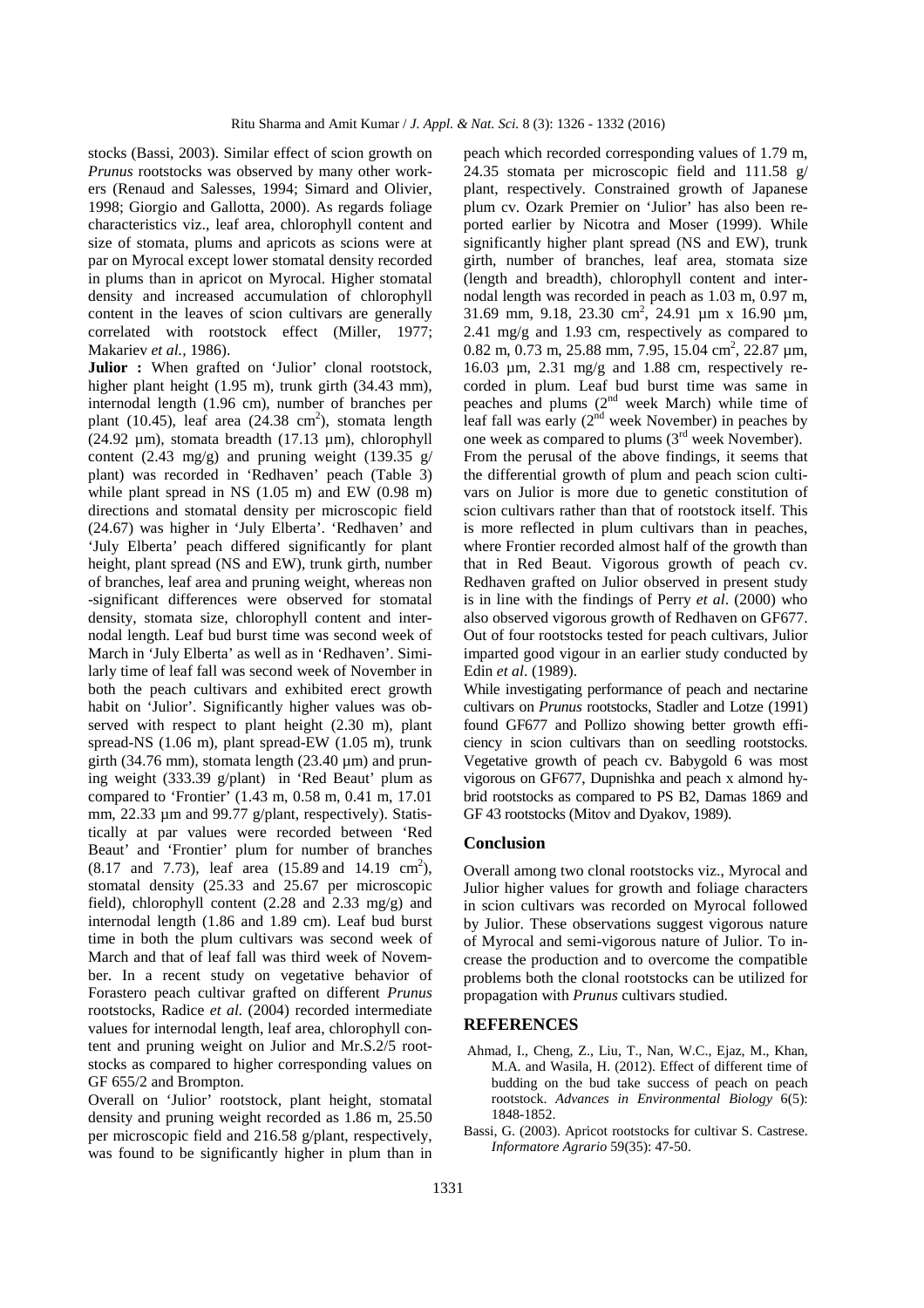stocks (Bassi, 2003). Similar effect of scion growth on *Prunus* rootstocks was observed by many other workers (Renaud and Salesses, 1994; Simard and Olivier, 1998; Giorgio and Gallotta, 2000). As regards foliage characteristics viz., leaf area, chlorophyll content and size of stomata, plums and apricots as scions were at par on Myrocal except lower stomatal density recorded in plums than in apricot on Myrocal. Higher stomatal density and increased accumulation of chlorophyll content in the leaves of scion cultivars are generally correlated with rootstock effect (Miller, 1977; Makariev *et al.,* 1986).

**Julior :** When grafted on 'Julior' clonal rootstock, higher plant height (1.95 m), trunk girth (34.43 mm), internodal length (1.96 cm), number of branches per plant  $(10.45)$ , leaf area  $(24.38 \text{ cm}^2)$ , stomata length (24.92 µm), stomata breadth (17.13 µm), chlorophyll content (2.43 mg/g) and pruning weight (139.35 g/ plant) was recorded in 'Redhaven' peach (Table 3) while plant spread in NS (1.05 m) and EW (0.98 m) directions and stomatal density per microscopic field (24.67) was higher in 'July Elberta'. 'Redhaven' and 'July Elberta' peach differed significantly for plant height, plant spread (NS and EW), trunk girth, number of branches, leaf area and pruning weight, whereas non -significant differences were observed for stomatal density, stomata size, chlorophyll content and internodal length. Leaf bud burst time was second week of March in 'July Elberta' as well as in 'Redhaven'. Similarly time of leaf fall was second week of November in both the peach cultivars and exhibited erect growth habit on 'Julior'. Significantly higher values was observed with respect to plant height (2.30 m), plant spread-NS (1.06 m), plant spread-EW (1.05 m), trunk girth (34.76 mm), stomata length (23.40  $\mu$ m) and pruning weight (333.39 g/plant) in 'Red Beaut' plum as compared to 'Frontier' (1.43 m, 0.58 m, 0.41 m, 17.01 mm, 22.33 µm and 99.77 g/plant, respectively). Statistically at par values were recorded between 'Red Beaut' and 'Frontier' plum for number of branches  $(8.17 \text{ and } 7.73)$ , leaf area  $(15.89 \text{ and } 14.19 \text{ cm}^2)$ , stomatal density (25.33 and 25.67 per microscopic field), chlorophyll content (2.28 and 2.33 mg/g) and internodal length (1.86 and 1.89 cm). Leaf bud burst time in both the plum cultivars was second week of March and that of leaf fall was third week of November. In a recent study on vegetative behavior of Forastero peach cultivar grafted on different *Prunus* rootstocks, Radice *et al.* (2004) recorded intermediate values for internodal length, leaf area, chlorophyll content and pruning weight on Julior and Mr.S.2/5 rootstocks as compared to higher corresponding values on GF 655/2 and Brompton.

Overall on 'Julior' rootstock, plant height, stomatal density and pruning weight recorded as 1.86 m, 25.50 per microscopic field and 216.58 g/plant, respectively, was found to be significantly higher in plum than in peach which recorded corresponding values of 1.79 m, 24.35 stomata per microscopic field and 111.58 g/ plant, respectively. Constrained growth of Japanese plum cv. Ozark Premier on 'Julior' has also been reported earlier by Nicotra and Moser (1999). While significantly higher plant spread (NS and EW), trunk girth, number of branches, leaf area, stomata size (length and breadth), chlorophyll content and internodal length was recorded in peach as 1.03 m, 0.97 m, 31.69 mm, 9.18, 23.30 cm<sup>2</sup>, 24.91 µm x 16.90 µm, 2.41 mg/g and 1.93 cm, respectively as compared to 0.82 m, 0.73 m, 25.88 mm, 7.95, 15.04 cm<sup>2</sup>, 22.87 µm, 16.03 µm, 2.31 mg/g and 1.88 cm, respectively recorded in plum. Leaf bud burst time was same in peaches and plums  $(2<sup>nd</sup>$  week March) while time of leaf fall was early  $(2<sup>nd</sup>$  week November) in peaches by one week as compared to plums  $(3<sup>rd</sup>$  week November). From the perusal of the above findings, it seems that the differential growth of plum and peach scion cultivars on Julior is more due to genetic constitution of scion cultivars rather than that of rootstock itself. This is more reflected in plum cultivars than in peaches, where Frontier recorded almost half of the growth than that in Red Beaut. Vigorous growth of peach cv. Redhaven grafted on Julior observed in present study is in line with the findings of Perry *et al*. (2000) who also observed vigorous growth of Redhaven on GF677. Out of four rootstocks tested for peach cultivars, Julior imparted good vigour in an earlier study conducted by Edin *et al*. (1989).

While investigating performance of peach and nectarine cultivars on *Prunus* rootstocks, Stadler and Lotze (1991) found GF677 and Pollizo showing better growth efficiency in scion cultivars than on seedling rootstocks. Vegetative growth of peach cv. Babygold 6 was most vigorous on GF677, Dupnishka and peach x almond hybrid rootstocks as compared to PS B2, Damas 1869 and GF 43 rootstocks (Mitov and Dyakov, 1989).

### **Conclusion**

Overall among two clonal rootstocks viz., Myrocal and Julior higher values for growth and foliage characters in scion cultivars was recorded on Myrocal followed by Julior. These observations suggest vigorous nature of Myrocal and semi-vigorous nature of Julior. To increase the production and to overcome the compatible problems both the clonal rootstocks can be utilized for propagation with *Prunus* cultivars studied.

### **REFERENCES**

- Ahmad, I., Cheng, Z., Liu, T., Nan, W.C., Ejaz, M., Khan, M.A. and Wasila, H. (2012). Effect of different time of budding on the bud take success of peach on peach rootstock. *Advances in Environmental Biology* 6(5): 1848-1852.
- Bassi, G. (2003). Apricot rootstocks for cultivar S. Castrese. *Informatore Agrario* 59(35): 47-50.